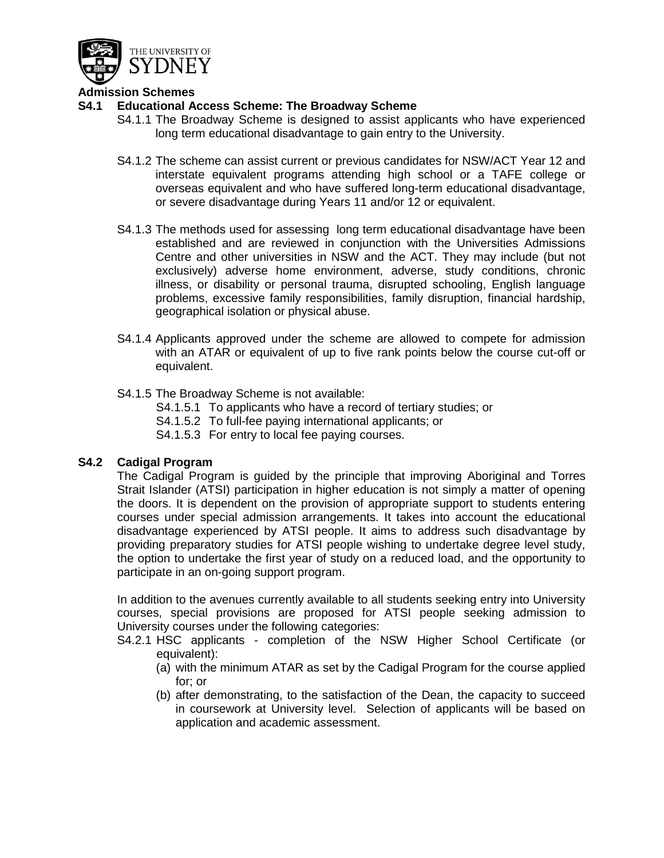

# **Admission Schemes**

## **S4.1 Educational Access Scheme: The Broadway Scheme**

- S4.1.1 The Broadway Scheme is designed to assist applicants who have experienced long term educational disadvantage to gain entry to the University.
- S4.1.2 The scheme can assist current or previous candidates for NSW/ACT Year 12 and interstate equivalent programs attending high school or a TAFE college or overseas equivalent and who have suffered long-term educational disadvantage, or severe disadvantage during Years 11 and/or 12 or equivalent.
- S4.1.3 The methods used for assessing long term educational disadvantage have been established and are reviewed in conjunction with the Universities Admissions Centre and other universities in NSW and the ACT. They may include (but not exclusively) adverse home environment, adverse, study conditions, chronic illness, or disability or personal trauma, disrupted schooling, English language problems, excessive family responsibilities, family disruption, financial hardship, geographical isolation or physical abuse.
- S4.1.4 Applicants approved under the scheme are allowed to compete for admission with an ATAR or equivalent of up to five rank points below the course cut-off or equivalent.
- S4.1.5 The Broadway Scheme is not available:
	- S4.1.5.1 To applicants who have a record of tertiary studies; or
	- S4.1.5.2 To full-fee paying international applicants; or
	- S4.1.5.3 For entry to local fee paying courses.

# **S4.2 Cadigal Program**

The Cadigal Program is guided by the principle that improving Aboriginal and Torres Strait Islander (ATSI) participation in higher education is not simply a matter of opening the doors. It is dependent on the provision of appropriate support to students entering courses under special admission arrangements. It takes into account the educational disadvantage experienced by ATSI people. It aims to address such disadvantage by providing preparatory studies for ATSI people wishing to undertake degree level study, the option to undertake the first year of study on a reduced load, and the opportunity to participate in an on-going support program.

In addition to the avenues currently available to all students seeking entry into University courses, special provisions are proposed for ATSI people seeking admission to University courses under the following categories:

- S4.2.1 HSC applicants completion of the NSW Higher School Certificate (or equivalent):
	- (a) with the minimum ATAR as set by the Cadigal Program for the course applied for; or
	- (b) after demonstrating, to the satisfaction of the Dean, the capacity to succeed in coursework at University level. Selection of applicants will be based on application and academic assessment.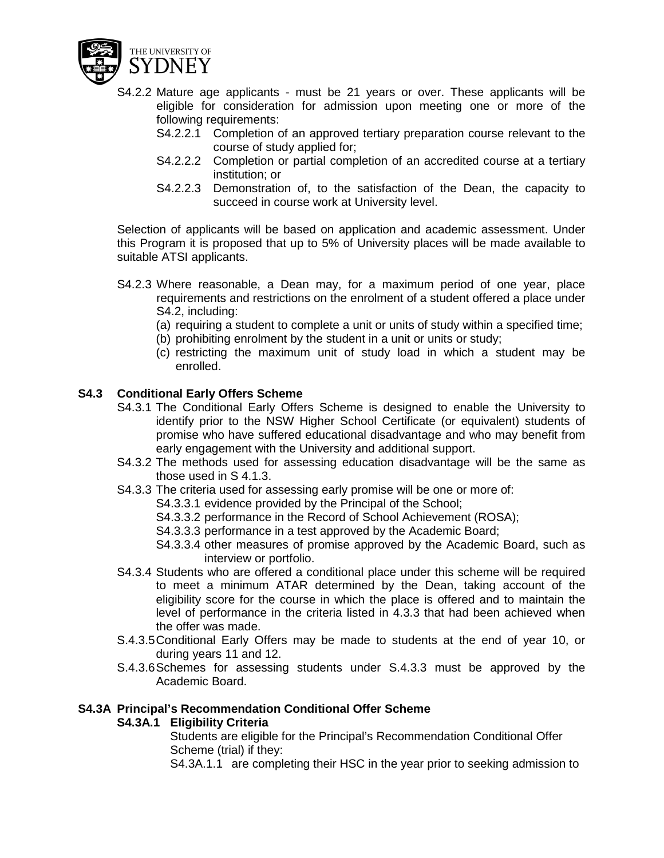

- S4.2.2 Mature age applicants must be 21 years or over. These applicants will be eligible for consideration for admission upon meeting one or more of the following requirements:
	- S4.2.2.1 Completion of an approved tertiary preparation course relevant to the course of study applied for;
	- S4.2.2.2 Completion or partial completion of an accredited course at a tertiary institution; or
	- S4.2.2.3 Demonstration of, to the satisfaction of the Dean, the capacity to succeed in course work at University level.

Selection of applicants will be based on application and academic assessment. Under this Program it is proposed that up to 5% of University places will be made available to suitable ATSI applicants.

- S4.2.3 Where reasonable, a Dean may, for a maximum period of one year, place requirements and restrictions on the enrolment of a student offered a place under S4.2, including:
	- (a) requiring a student to complete a unit or units of study within a specified time;
	- (b) prohibiting enrolment by the student in a unit or units or study;
	- (c) restricting the maximum unit of study load in which a student may be enrolled.

## **S4.3 Conditional Early Offers Scheme**

- S4.3.1 The Conditional Early Offers Scheme is designed to enable the University to identify prior to the NSW Higher School Certificate (or equivalent) students of promise who have suffered educational disadvantage and who may benefit from early engagement with the University and additional support.
- S4.3.2 The methods used for assessing education disadvantage will be the same as those used in S 4.1.3.
- S4.3.3 The criteria used for assessing early promise will be one or more of:
	- S4.3.3.1 evidence provided by the Principal of the School;
	- S4.3.3.2 performance in the Record of School Achievement (ROSA);
	- S4.3.3.3 performance in a test approved by the Academic Board;
	- S4.3.3.4 other measures of promise approved by the Academic Board, such as interview or portfolio.
- S4.3.4 Students who are offered a conditional place under this scheme will be required to meet a minimum ATAR determined by the Dean, taking account of the eligibility score for the course in which the place is offered and to maintain the level of performance in the criteria listed in 4.3.3 that had been achieved when the offer was made.
- S.4.3.5Conditional Early Offers may be made to students at the end of year 10, or during years 11 and 12.
- S.4.3.6Schemes for assessing students under S.4.3.3 must be approved by the Academic Board.

#### **S4.3A Principal's Recommendation Conditional Offer Scheme**

# **S4.3A.1 Eligibility Criteria**

Students are eligible for the Principal's Recommendation Conditional Offer Scheme (trial) if they:

S4.3A.1.1 are completing their HSC in the year prior to seeking admission to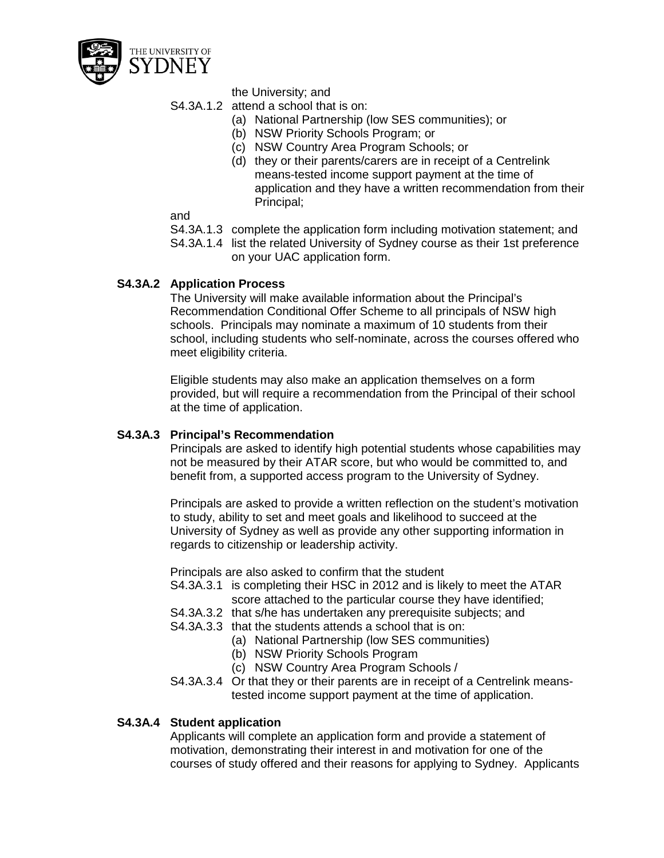

the University; and

S4.3A.1.2 attend a school that is on:

- (a) National Partnership (low SES communities); or
- (b) NSW Priority Schools Program; or
- (c) NSW Country Area Program Schools; or
- (d) they or their parents/carers are in receipt of a Centrelink means-tested income support payment at the time of application and they have a written recommendation from their Principal;

and

- S4.3A.1.3 complete the application form including motivation statement; and
- S4.3A.1.4 list the related University of Sydney course as their 1st preference on your UAC application form.

# **S4.3A.2 Application Process**

The University will make available information about the Principal's Recommendation Conditional Offer Scheme to all principals of NSW high schools. Principals may nominate a maximum of 10 students from their school, including students who self-nominate, across the courses offered who meet eligibility criteria.

Eligible students may also make an application themselves on a form provided, but will require a recommendation from the Principal of their school at the time of application.

### **S4.3A.3 Principal's Recommendation**

Principals are asked to identify high potential students whose capabilities may not be measured by their ATAR score, but who would be committed to, and benefit from, a supported access program to the University of Sydney.

Principals are asked to provide a written reflection on the student's motivation to study, ability to set and meet goals and likelihood to succeed at the University of Sydney as well as provide any other supporting information in regards to citizenship or leadership activity.

Principals are also asked to confirm that the student

- S4.3A.3.1 is completing their HSC in 2012 and is likely to meet the ATAR score attached to the particular course they have identified;
- S4.3A.3.2 that s/he has undertaken any prerequisite subjects; and
- S4.3A.3.3 that the students attends a school that is on:
	- (a) National Partnership (low SES communities)
	- (b) NSW Priority Schools Program
	- (c) NSW Country Area Program Schools /
- S4.3A.3.4 Or that they or their parents are in receipt of a Centrelink meanstested income support payment at the time of application.

# **S4.3A.4 Student application**

Applicants will complete an application form and provide a statement of motivation, demonstrating their interest in and motivation for one of the courses of study offered and their reasons for applying to Sydney. Applicants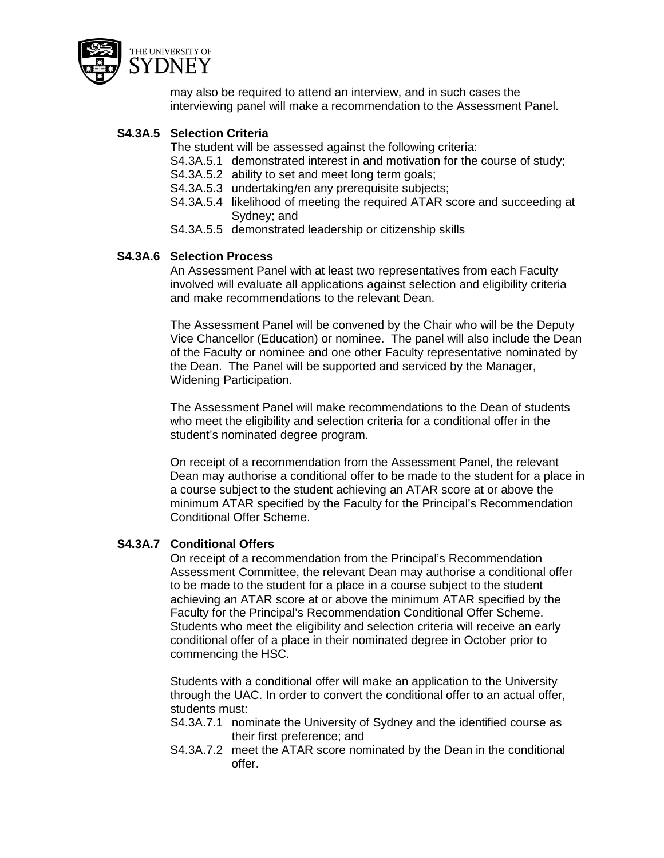

may also be required to attend an interview, and in such cases the interviewing panel will make a recommendation to the Assessment Panel.

# **S4.3A.5 Selection Criteria**

The student will be assessed against the following criteria:

- S4.3A.5.1 demonstrated interest in and motivation for the course of study;
- S4.3A.5.2 ability to set and meet long term goals;
- S4.3A.5.3 undertaking/en any prerequisite subjects;
- S4.3A.5.4 likelihood of meeting the required ATAR score and succeeding at Sydney; and
- S4.3A.5.5 demonstrated leadership or citizenship skills

# **S4.3A.6 Selection Process**

An Assessment Panel with at least two representatives from each Faculty involved will evaluate all applications against selection and eligibility criteria and make recommendations to the relevant Dean.

The Assessment Panel will be convened by the Chair who will be the Deputy Vice Chancellor (Education) or nominee. The panel will also include the Dean of the Faculty or nominee and one other Faculty representative nominated by the Dean. The Panel will be supported and serviced by the Manager, Widening Participation.

The Assessment Panel will make recommendations to the Dean of students who meet the eligibility and selection criteria for a conditional offer in the student's nominated degree program.

On receipt of a recommendation from the Assessment Panel, the relevant Dean may authorise a conditional offer to be made to the student for a place in a course subject to the student achieving an ATAR score at or above the minimum ATAR specified by the Faculty for the Principal's Recommendation Conditional Offer Scheme.

# **S4.3A.7 Conditional Offers**

On receipt of a recommendation from the Principal's Recommendation Assessment Committee, the relevant Dean may authorise a conditional offer to be made to the student for a place in a course subject to the student achieving an ATAR score at or above the minimum ATAR specified by the Faculty for the Principal's Recommendation Conditional Offer Scheme. Students who meet the eligibility and selection criteria will receive an early conditional offer of a place in their nominated degree in October prior to commencing the HSC.

Students with a conditional offer will make an application to the University through the UAC. In order to convert the conditional offer to an actual offer, students must:

- S4.3A.7.1 nominate the University of Sydney and the identified course as their first preference; and
- S4.3A.7.2 meet the ATAR score nominated by the Dean in the conditional offer.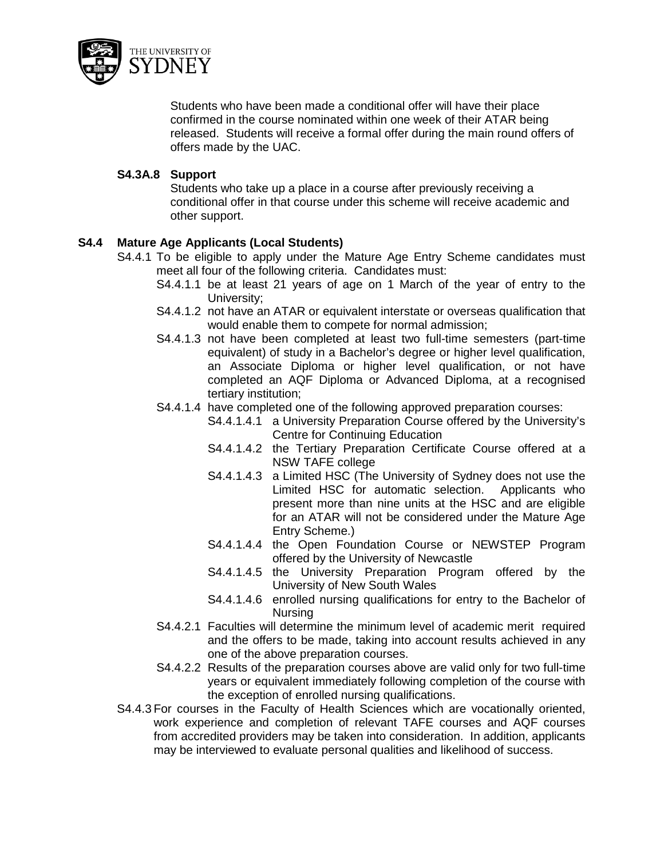

Students who have been made a conditional offer will have their place confirmed in the course nominated within one week of their ATAR being released. Students will receive a formal offer during the main round offers of offers made by the UAC.

# **S4.3A.8 Support**

Students who take up a place in a course after previously receiving a conditional offer in that course under this scheme will receive academic and other support.

# **S4.4 Mature Age Applicants (Local Students)**

- S4.4.1 To be eligible to apply under the Mature Age Entry Scheme candidates must meet all four of the following criteria. Candidates must:
	- S4.4.1.1 be at least 21 years of age on 1 March of the year of entry to the University;
	- S4.4.1.2 not have an ATAR or equivalent interstate or overseas qualification that would enable them to compete for normal admission;
	- S4.4.1.3 not have been completed at least two full-time semesters (part-time equivalent) of study in a Bachelor's degree or higher level qualification, an Associate Diploma or higher level qualification, or not have completed an AQF Diploma or Advanced Diploma, at a recognised tertiary institution;
	- S4.4.1.4 have completed one of the following approved preparation courses:
		- S4.4.1.4.1 a University Preparation Course offered by the University's Centre for Continuing Education
		- S4.4.1.4.2 the Tertiary Preparation Certificate Course offered at a NSW TAFE college
		- S4.4.1.4.3 a Limited HSC (The University of Sydney does not use the Limited HSC for automatic selection. Applicants who present more than nine units at the HSC and are eligible for an ATAR will not be considered under the Mature Age Entry Scheme.)
		- S4.4.1.4.4 the Open Foundation Course or NEWSTEP Program offered by the University of Newcastle
		- S4.4.1.4.5 the University Preparation Program offered by the University of New South Wales
		- S4.4.1.4.6 enrolled nursing qualifications for entry to the Bachelor of Nursing
	- S4.4.2.1 Faculties will determine the minimum level of academic merit required and the offers to be made, taking into account results achieved in any one of the above preparation courses.
	- S4.4.2.2 Results of the preparation courses above are valid only for two full-time years or equivalent immediately following completion of the course with the exception of enrolled nursing qualifications.
- S4.4.3 For courses in the Faculty of Health Sciences which are vocationally oriented, work experience and completion of relevant TAFE courses and AQF courses from accredited providers may be taken into consideration. In addition, applicants may be interviewed to evaluate personal qualities and likelihood of success.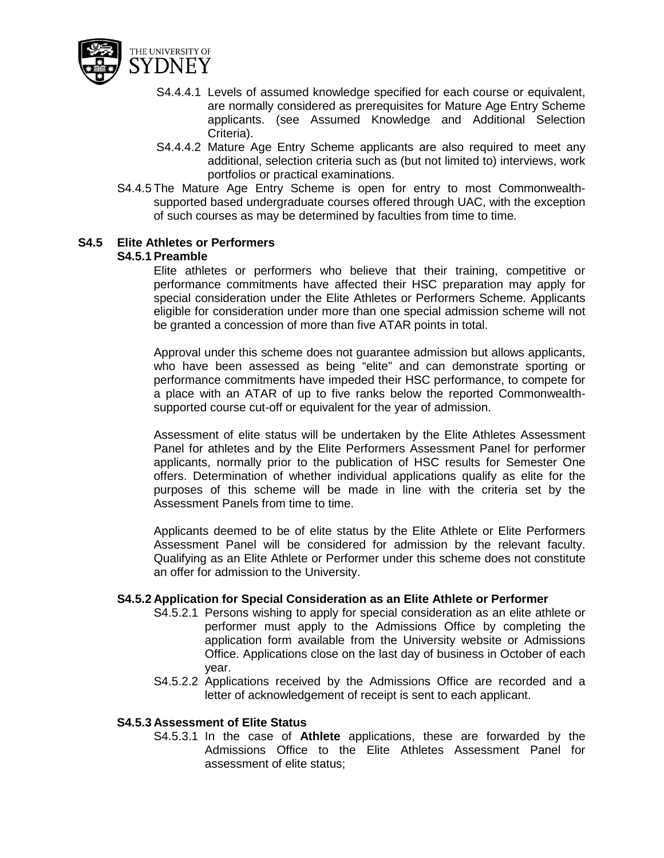

- S4.4.4.1 Levels of assumed knowledge specified for each course or equivalent, are normally considered as prerequisites for Mature Age Entry Scheme applicants. (see Assumed Knowledge and Additional Selection Criteria).
- S4.4.4.2 Mature Age Entry Scheme applicants are also required to meet any additional, selection criteria such as (but not limited to) interviews, work portfolios or practical examinations.
- S4.4.5 The Mature Age Entry Scheme is open for entry to most Commonwealthsupported based undergraduate courses offered through UAC, with the exception of such courses as may be determined by faculties from time to time.

## **S4.5 Elite Athletes or Performers**

### **S4.5.1 Preamble**

Elite athletes or performers who believe that their training, competitive or performance commitments have affected their HSC preparation may apply for special consideration under the Elite Athletes or Performers Scheme. Applicants eligible for consideration under more than one special admission scheme will not be granted a concession of more than five ATAR points in total.

Approval under this scheme does not guarantee admission but allows applicants, who have been assessed as being "elite" and can demonstrate sporting or performance commitments have impeded their HSC performance, to compete for a place with an ATAR of up to five ranks below the reported Commonwealthsupported course cut-off or equivalent for the year of admission.

Assessment of elite status will be undertaken by the Elite Athletes Assessment Panel for athletes and by the Elite Performers Assessment Panel for performer applicants, normally prior to the publication of HSC results for Semester One offers. Determination of whether individual applications qualify as elite for the purposes of this scheme will be made in line with the criteria set by the Assessment Panels from time to time.

Applicants deemed to be of elite status by the Elite Athlete or Elite Performers Assessment Panel will be considered for admission by the relevant faculty. Qualifying as an Elite Athlete or Performer under this scheme does not constitute an offer for admission to the University.

#### **S4.5.2 Application for Special Consideration as an Elite Athlete or Performer**

- S4.5.2.1 Persons wishing to apply for special consideration as an elite athlete or performer must apply to the Admissions Office by completing the application form available from the University website or Admissions Office. Applications close on the last day of business in October of each year.
- S4.5.2.2 Applications received by the Admissions Office are recorded and a letter of acknowledgement of receipt is sent to each applicant.

#### **S4.5.3 Assessment of Elite Status**

S4.5.3.1 In the case of **Athlete** applications, these are forwarded by the Admissions Office to the Elite Athletes Assessment Panel for assessment of elite status;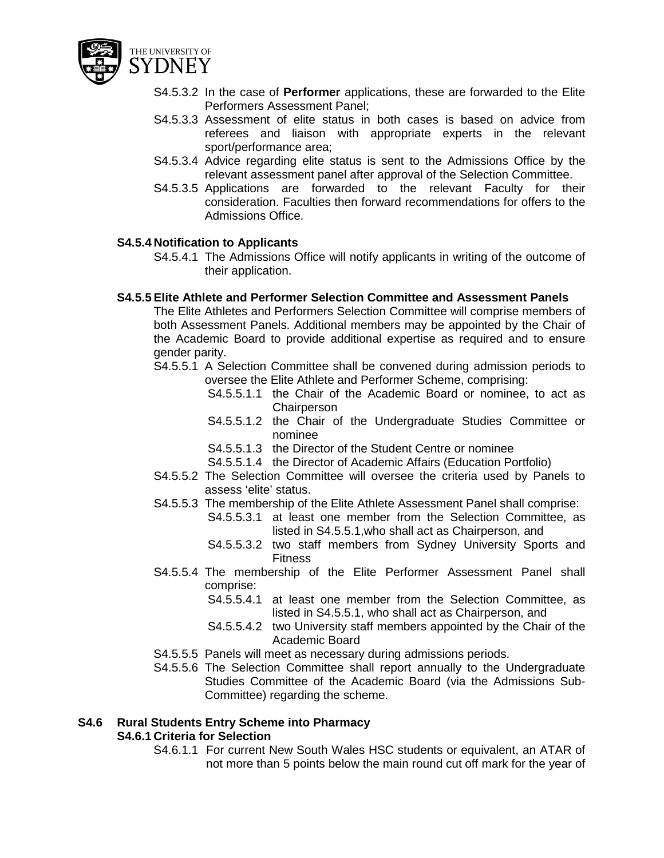

- S4.5.3.2 In the case of **Performer** applications, these are forwarded to the Elite Performers Assessment Panel;
- S4.5.3.3 Assessment of elite status in both cases is based on advice from referees and liaison with appropriate experts in the relevant sport/performance area;
- S4.5.3.4 Advice regarding elite status is sent to the Admissions Office by the relevant assessment panel after approval of the Selection Committee.
- S4.5.3.5 Applications are forwarded to the relevant Faculty for their consideration. Faculties then forward recommendations for offers to the Admissions Office.

## **S4.5.4 Notification to Applicants**

S4.5.4.1 The Admissions Office will notify applicants in writing of the outcome of their application.

#### **S4.5.5 Elite Athlete and Performer Selection Committee and Assessment Panels**

The Elite Athletes and Performers Selection Committee will comprise members of both Assessment Panels. Additional members may be appointed by the Chair of the Academic Board to provide additional expertise as required and to ensure gender parity.

- S4.5.5.1 A Selection Committee shall be convened during admission periods to oversee the Elite Athlete and Performer Scheme, comprising:
	- S4.5.5.1.1 the Chair of the Academic Board or nominee, to act as **Chairperson**
	- S4.5.5.1.2 the Chair of the Undergraduate Studies Committee or nominee
	- S4.5.5.1.3 the Director of the Student Centre or nominee
	- S4.5.5.1.4 the Director of Academic Affairs (Education Portfolio)
- S4.5.5.2 The Selection Committee will oversee the criteria used by Panels to assess 'elite' status.
- S4.5.5.3 The membership of the Elite Athlete Assessment Panel shall comprise:
	- S4.5.5.3.1 at least one member from the Selection Committee, as listed in S4.5.5.1,who shall act as Chairperson, and
	- S4.5.5.3.2 two staff members from Sydney University Sports and Fitness
- S4.5.5.4 The membership of the Elite Performer Assessment Panel shall comprise:
	- S4.5.5.4.1 at least one member from the Selection Committee, as listed in S4.5.5.1, who shall act as Chairperson, and
	- S4.5.5.4.2 two University staff members appointed by the Chair of the Academic Board
- S4.5.5.5 Panels will meet as necessary during admissions periods.
- S4.5.5.6 The Selection Committee shall report annually to the Undergraduate Studies Committee of the Academic Board (via the Admissions Sub-Committee) regarding the scheme.

#### **S4.6 Rural Students Entry Scheme into Pharmacy**

# **S4.6.1 Criteria for Selection**

S4.6.1.1 For current New South Wales HSC students or equivalent, an ATAR of not more than 5 points below the main round cut off mark for the year of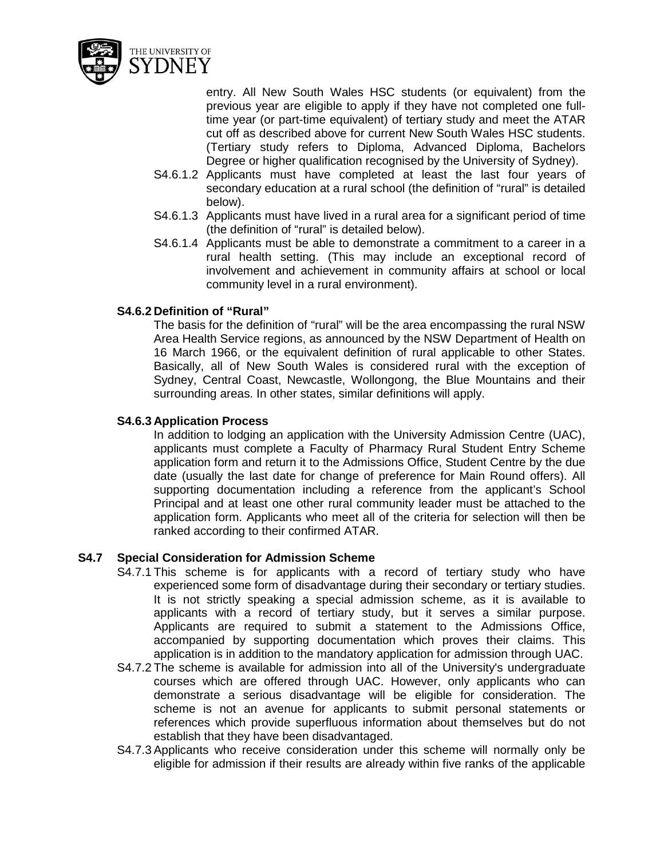

entry. All New South Wales HSC students (or equivalent) from the previous year are eligible to apply if they have not completed one fulltime year (or part-time equivalent) of tertiary study and meet the ATAR cut off as described above for current New South Wales HSC students. (Tertiary study refers to Diploma, Advanced Diploma, Bachelors Degree or higher qualification recognised by the University of Sydney).

- S4.6.1.2 Applicants must have completed at least the last four years of secondary education at a rural school (the definition of "rural" is detailed below).
- S4.6.1.3 Applicants must have lived in a rural area for a significant period of time (the definition of "rural" is detailed below).
- S4.6.1.4 Applicants must be able to demonstrate a commitment to a career in a rural health setting. (This may include an exceptional record of involvement and achievement in community affairs at school or local community level in a rural environment).

# **S4.6.2 Definition of "Rural"**

The basis for the definition of "rural" will be the area encompassing the rural NSW Area Health Service regions, as announced by the NSW Department of Health on 16 March 1966, or the equivalent definition of rural applicable to other States. Basically, all of New South Wales is considered rural with the exception of Sydney, Central Coast, Newcastle, Wollongong, the Blue Mountains and their surrounding areas. In other states, similar definitions will apply.

## **S4.6.3 Application Process**

In addition to lodging an application with the University Admission Centre (UAC), applicants must complete a Faculty of Pharmacy Rural Student Entry Scheme application form and return it to the Admissions Office, Student Centre by the due date (usually the last date for change of preference for Main Round offers). All supporting documentation including a reference from the applicant's School Principal and at least one other rural community leader must be attached to the application form. Applicants who meet all of the criteria for selection will then be ranked according to their confirmed ATAR.

# **S4.7 Special Consideration for Admission Scheme**

- S4.7.1 This scheme is for applicants with a record of tertiary study who have experienced some form of disadvantage during their secondary or tertiary studies. It is not strictly speaking a special admission scheme, as it is available to applicants with a record of tertiary study, but it serves a similar purpose. Applicants are required to submit a statement to the Admissions Office, accompanied by supporting documentation which proves their claims. This application is in addition to the mandatory application for admission through UAC.
- S4.7.2 The scheme is available for admission into all of the University's undergraduate courses which are offered through UAC. However, only applicants who can demonstrate a serious disadvantage will be eligible for consideration. The scheme is not an avenue for applicants to submit personal statements or references which provide superfluous information about themselves but do not establish that they have been disadvantaged.
- S4.7.3 Applicants who receive consideration under this scheme will normally only be eligible for admission if their results are already within five ranks of the applicable